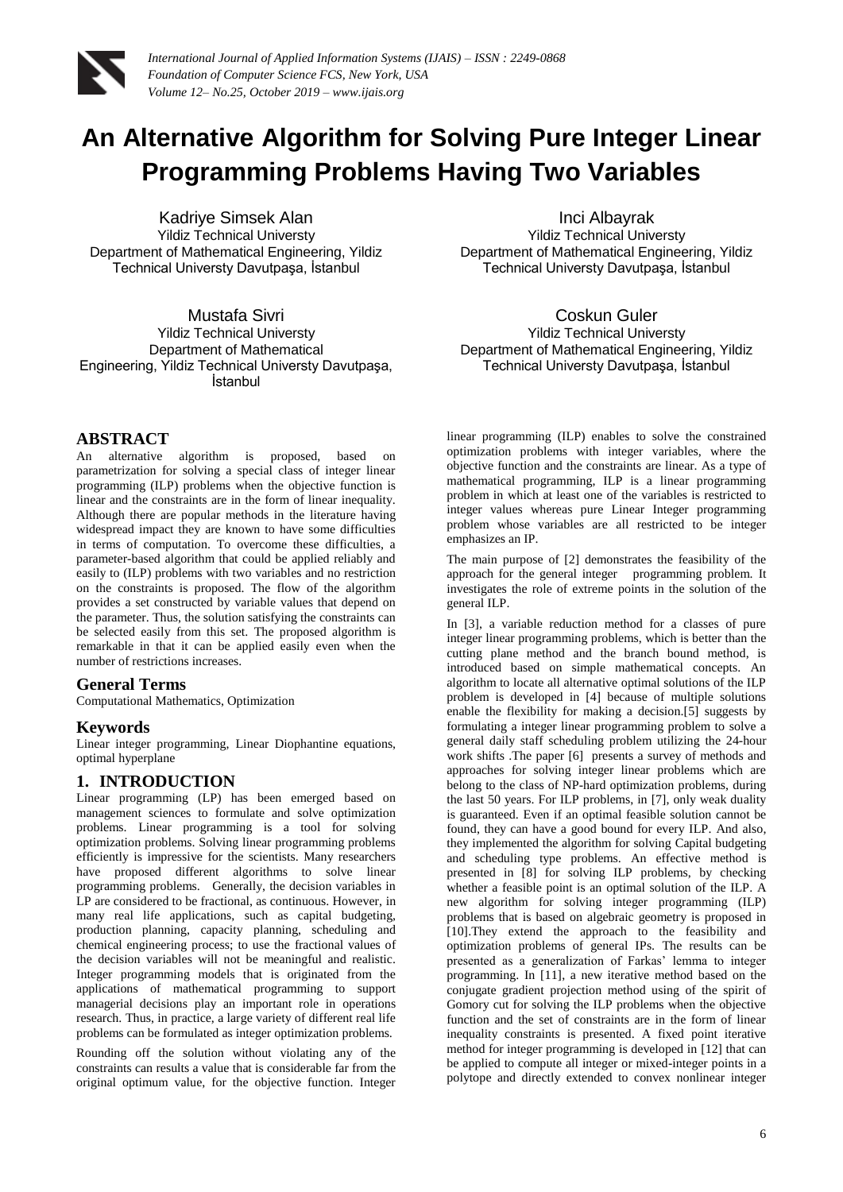

# **An Alternative Algorithm for Solving Pure Integer Linear Programming Problems Having Two Variables**

Kadriye Simsek Alan Yildiz Technical Universty Department of Mathematical Engineering, Yildiz Technical Universty Davutpaşa, İstanbul

Mustafa Sivri Yildiz Technical Universty Department of Mathematical Engineering, Yildiz Technical Universty Davutpaşa, İstanbul

### **ABSTRACT**

An alternative algorithm is proposed, based on parametrization for solving a special class of integer linear programming (ILP) problems when the objective function is linear and the constraints are in the form of linear inequality. Although there are popular methods in the literature having widespread impact they are known to have some difficulties in terms of computation. To overcome these difficulties, a parameter-based algorithm that could be applied reliably and easily to (ILP) problems with two variables and no restriction on the constraints is proposed. The flow of the algorithm provides a set constructed by variable values that depend on the parameter. Thus, the solution satisfying the constraints can be selected easily from this set. The proposed algorithm is remarkable in that it can be applied easily even when the number of restrictions increases.

### **General Terms**

Computational Mathematics, Optimization

### **Keywords**

Linear integer programming, Linear Diophantine equations, optimal hyperplane

## **1. INTRODUCTION**

Linear programming (LP) has been emerged based on management sciences to formulate and solve optimization problems. Linear programming is a tool for solving optimization problems. Solving linear programming problems efficiently is impressive for the scientists. Many researchers have proposed different algorithms to solve linear programming problems. Generally, the decision variables in LP are considered to be fractional, as continuous. However, in many real life applications, such as capital budgeting, production planning, capacity planning, scheduling and chemical engineering process; to use the fractional values of the decision variables will not be meaningful and realistic. Integer programming models that is originated from the applications of mathematical programming to support managerial decisions play an important role in operations research. Thus, in practice, a large variety of different real life problems can be formulated as integer optimization problems.

Rounding off the solution without violating any of the constraints can results a value that is considerable far from the original optimum value, for the objective function. Integer

Inci Albayrak Yildiz Technical Universty Department of Mathematical Engineering, Yildiz Technical Universty Davutpaşa, İstanbul

Coskun Guler Yildiz Technical Universty Department of Mathematical Engineering, Yildiz Technical Universty Davutpaşa, İstanbul

linear programming (ILP) enables to solve the constrained optimization problems with integer variables, where the objective function and the constraints are linear. As a type of mathematical programming, ILP is a linear programming problem in which at least one of the variables is restricted to integer values whereas pure Linear Integer programming problem whose variables are all restricted to be integer emphasizes an IP.

The main purpose of [2] demonstrates the feasibility of the approach for the general integer programming problem. It investigates the role of extreme points in the solution of the general ILP.

In [3], a variable reduction method for a classes of pure integer linear programming problems, which is better than the cutting plane method and the branch bound method, is introduced based on simple mathematical concepts. An algorithm to locate all alternative optimal solutions of the ILP problem is developed in [4] because of multiple solutions enable the flexibility for making a decision.<sup>[5]</sup> suggests by formulating a integer linear programming problem to solve a general daily staff scheduling problem utilizing the 24-hour work shifts .The paper [6] presents a survey of methods and approaches for solving integer linear problems which are belong to the class of NP-hard optimization problems, during the last 50 years. For ILP problems, in [7], only weak duality is guaranteed. Even if an optimal feasible solution cannot be found, they can have a good bound for every ILP. And also, they implemented the algorithm for solving Capital budgeting and scheduling type problems. An effective method is presented in [8] for solving ILP problems, by checking whether a feasible point is an optimal solution of the ILP. A new algorithm for solving integer programming (ILP) problems that is based on algebraic geometry is proposed in [10].They extend the approach to the feasibility and optimization problems of general IPs. The results can be presented as a generalization of Farkas' lemma to integer programming. In [11], a new iterative method based on the conjugate gradient projection method using of the spirit of Gomory cut for solving the ILP problems when the objective function and the set of constraints are in the form of linear inequality constraints is presented. A fixed point iterative method for integer programming is developed in [12] that can be applied to compute all integer or mixed-integer points in a polytope and directly extended to convex nonlinear integer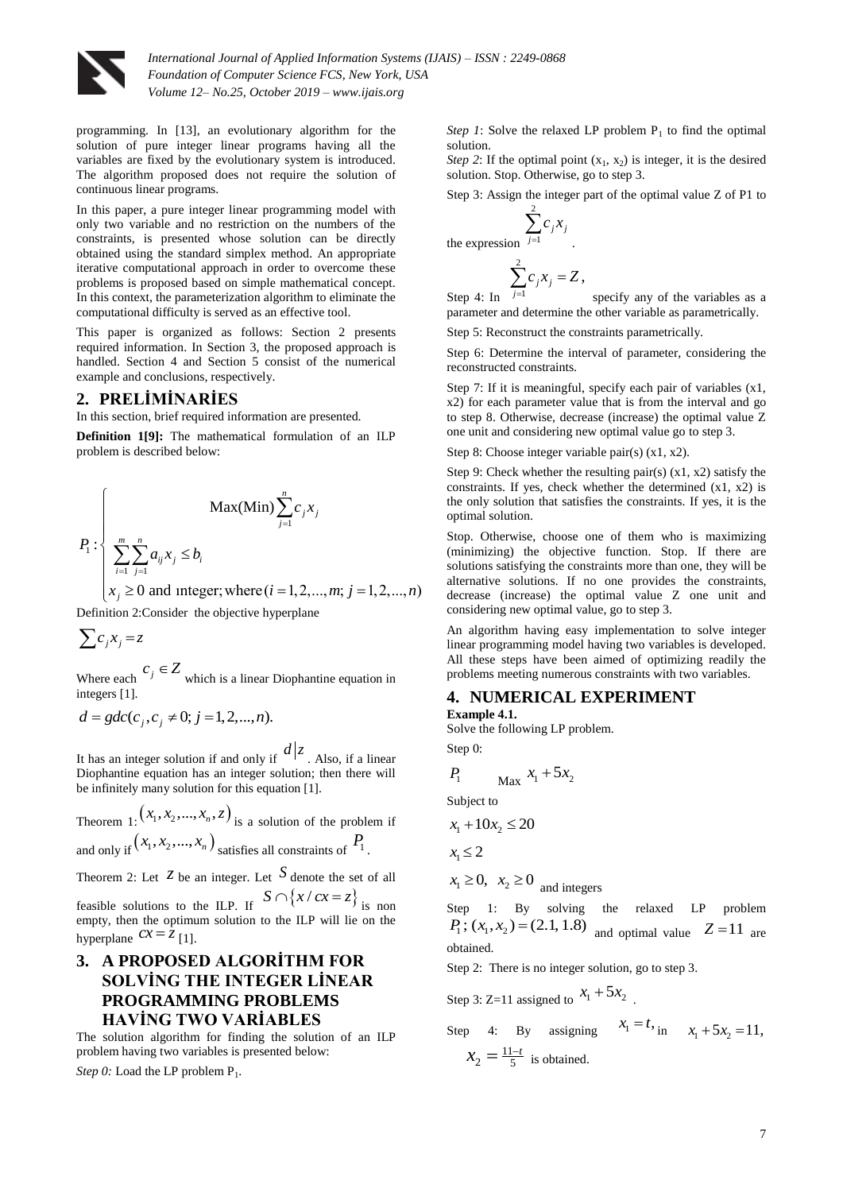

*International Journal of Applied Information Systems (IJAIS) – ISSN : 2249-0868 Foundation of Computer Science FCS, New York, USA Volume 12– No.25, October 2019 – www.ijais.org*

programming. In [13], an evolutionary algorithm for the solution of pure integer linear programs having all the variables are fixed by the evolutionary system is introduced. The algorithm proposed does not require the solution of continuous linear programs.

In this paper, a pure integer linear programming model with only two variable and no restriction on the numbers of the constraints, is presented whose solution can be directly obtained using the standard simplex method. An appropriate iterative computational approach in order to overcome these problems is proposed based on simple mathematical concept. In this context, the parameterization algorithm to eliminate the computational difficulty is served as an effective tool.

This paper is organized as follows: Section 2 presents required information. In Section 3, the proposed approach is handled. Section 4 and Section 5 consist of the numerical example and conclusions, respectively.

### **2. PRELİMİNARİES**

In this section, brief required information are presented.

**Definition 1[9]:** The mathematical formulation of an ILP problem is described below:

Step  
\n
$$
P_{1}: \begin{cases}\n& \text{Max}(Min) \sum_{j=1}^{n} c_{j}x_{j} & \text{the (} \\ \sum_{i=1}^{m} \sum_{j=1}^{n} a_{ij}x_{j} \leq b_{i} & \text{for (} \\ x_{j} \geq 0 \text{ and integer; where } (i = 1, 2, ..., m; j = 1, 2, ..., n)\n\end{cases}
$$
\nStep

Definition 2:Consider the objective hyperplane

$$
\sum c_j x_j = z
$$

Where each  $c_j \in Z$  which is a linear Diophantine equation in integers [1].

$$
d = gdc(c_j, c_j \neq 0; j = 1, 2, ..., n).
$$

It has an integer solution if and only if  $d|z|$ . Also, if a linear Diophantine equation has an integer solution; then there will be infinitely many solution for this equation [1].

Theorem 1:  $(x_1, x_2, ..., x_n, z)$  is a solution of the problem if and only if  $(x_1, x_2, ..., x_n)$  satisfies all constraints of  $P_1$ .

Theorem 2: Let  $\bar{z}$  be an integer. Let  $S$  denote the set of all feasible solutions to the ILP. If  $S \cap \{x / cx = z\}$  is non

empty, then the optimum solution to the ILP will lie on the hyperplane  $cx = z$  [1].

# **3. A PROPOSED ALGORİTHM FOR SOLVİNG THE INTEGER LİNEAR PROGRAMMING PROBLEMS HAVİNG TWO VARİABLES**

The solution algorithm for finding the solution of an ILP problem having two variables is presented below:

Step 0: Load the LP problem P<sub>1</sub>.

*Step 1*: Solve the relaxed LP problem  $P_1$  to find the optimal solution.

*Step 2*: If the optimal point  $(x_1, x_2)$  is integer, it is the desired solution. Stop. Otherwise, go to step 3.

Step 3: Assign the integer part of the optimal value Z of P1 to 2

$$
\sum_{j=1}^{n} c_j x_j
$$
 the expression 
$$
\sum_{j=1}^{n} c_j x_j = Z,
$$

Step 4: In 1 *j*  $\overline{a}$ specify any of the variables as a parameter and determine the other variable as parametrically.

Step 5: Reconstruct the constraints parametrically.

Step 6: Determine the interval of parameter, considering the reconstructed constraints.

Step 7: If it is meaningful, specify each pair of variables (x1, x2) for each parameter value that is from the interval and go to step 8. Otherwise, decrease (increase) the optimal value Z one unit and considering new optimal value go to step 3.

Step 8: Choose integer variable pair(s) (x1, x2).

Step 9: Check whether the resulting pair(s)  $(x1, x2)$  satisfy the constraints. If yes, check whether the determined (x1, x2) is the only solution that satisfies the constraints. If yes, it is the optimal solution.

Stop. Otherwise, choose one of them who is maximizing (minimizing) the objective function. Stop. If there are solutions satisfying the constraints more than one, they will be alternative solutions. If no one provides the constraints, decrease (increase) the optimal value Z one unit and considering new optimal value, go to step 3.

An algorithm having easy implementation to solve integer linear programming model having two variables is developed. All these steps have been aimed of optimizing readily the problems meeting numerous constraints with two variables.

#### **4. NUMERICAL EXPERIMENT Example 4.1.**

Solve the following LP problem.

Step 0:

$$
P_1 \qquad \qquad \text{Max} \quad x_1 + 5x_2
$$

Subject to

 $x_1 + 10x_2 \le 20$ 

 $x_1 \leq 2$ 

 $x_1 \geq 0$ ,  $x_2 \geq 0$  and integers

Step 1: By solving the relaxed LP problem  $P_1$ ;  $(x_1, x_2) = (2.1, 1.8)$  and optimal value  $Z = 11$  are obtained.

Step 2: There is no integer solution, go to step 3.

Step 3: Z=11 assigned to 
$$
x_1 + 5x_2
$$

Step 4: By assigning 
$$
x_1 = t
$$
, in  $x_1 + 5x_2 = 11$ ,  
 $x_2 = \frac{11-t}{5}$  is obtained.

.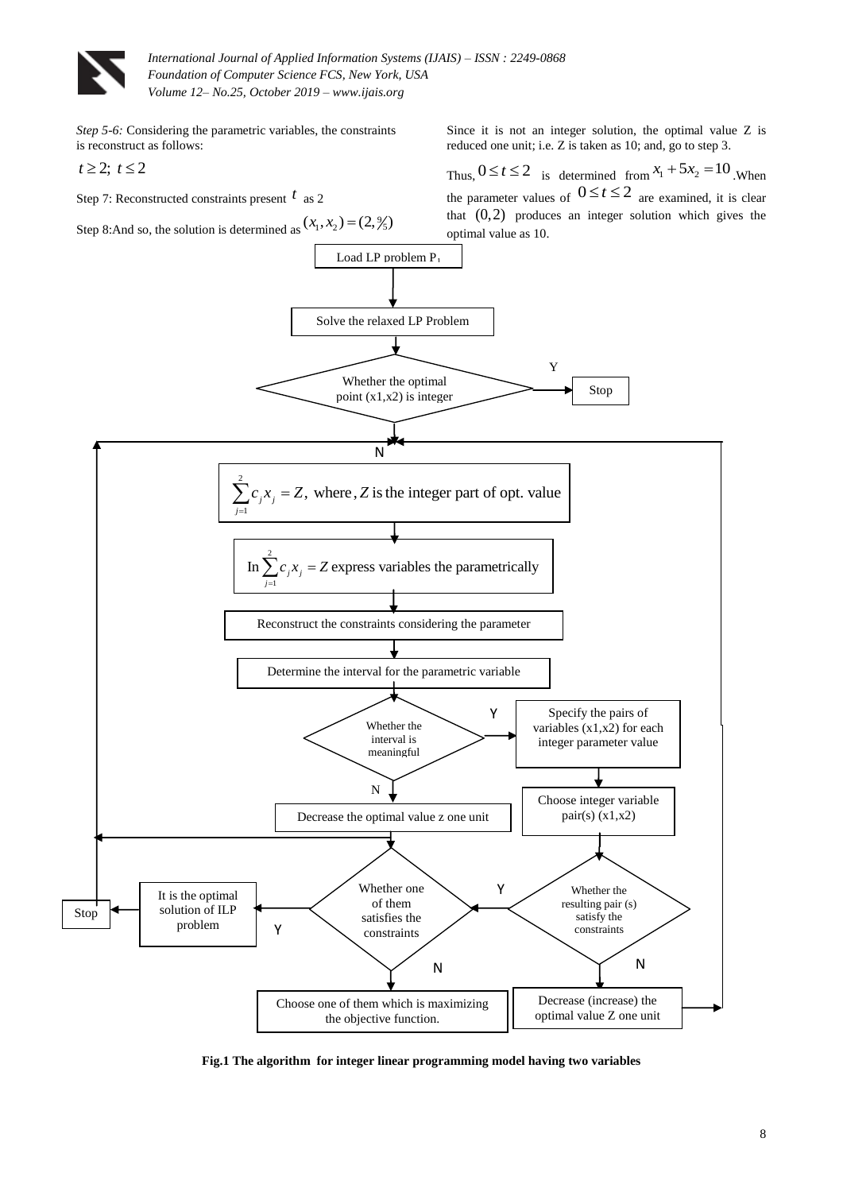

*International Journal of Applied Information Systems (IJAIS) – ISSN : 2249-0868 Foundation of Computer Science FCS, New York, USA Volume 12– No.25, October 2019 – www.ijais.org*

*Step 5-6:* Considering the parametric variables, the constraints is reconstruct as follows:

$$
t\geq 2;\ t\leq 2
$$

Step 7: Reconstructed constraints present *t* as 2

Since it is not an integer solution, the optimal value Z is reduced one unit; i.e. Z is taken as 10; and, go to step 3.

Thus,  $0 \le t \le 2$  is determined from  $x_1 + 5x_2 = 10$ . When



**Fig.1 The algorithm for integer linear programming model having two variables**